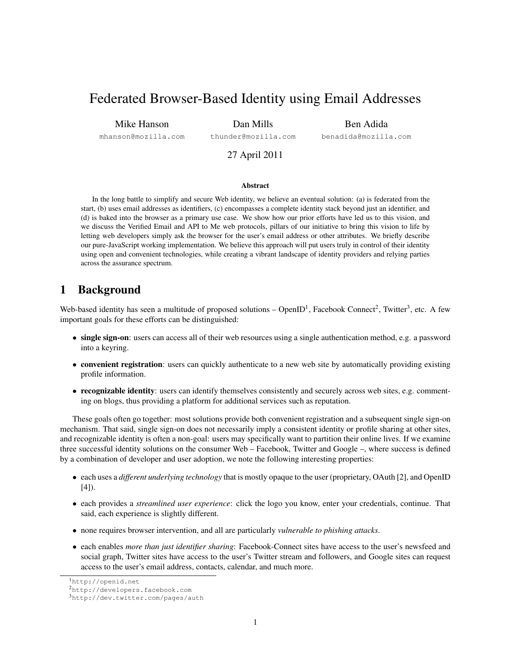# Federated Browser-Based Identity using Email Addresses

Mike Hanson

Dan Mills

Ben Adida

mhanson@mozilla.com

thunder@mozilla.com

benadida@mozilla.com

### 27 April 2011

#### Abstract

In the long battle to simplify and secure Web identity, we believe an eventual solution: (a) is federated from the start, (b) uses email addresses as identifiers, (c) encompasses a complete identity stack beyond just an identifier, and (d) is baked into the browser as a primary use case. We show how our prior efforts have led us to this vision, and we discuss the Verified Email and API to Me web protocols, pillars of our initiative to bring this vision to life by letting web developers simply ask the browser for the user's email address or other attributes. We briefly describe our pure-JavaScript working implementation. We believe this approach will put users truly in control of their identity using open and convenient technologies, while creating a vibrant landscape of identity providers and relying parties across the assurance spectrum.

### 1 Background

Web-based identity has seen a multitude of proposed solutions  $-$  OpenID<sup>1</sup>, Facebook Connect<sup>2</sup>, Twitter<sup>3</sup>, etc. A few important goals for these efforts can be distinguished:

- single sign-on: users can access all of their web resources using a single authentication method, e.g. a password into a keyring.
- convenient registration: users can quickly authenticate to a new web site by automatically providing existing profile information.
- recognizable identity: users can identify themselves consistently and securely across web sites, e.g. commenting on blogs, thus providing a platform for additional services such as reputation.

These goals often go together: most solutions provide both convenient registration and a subsequent single sign-on mechanism. That said, single sign-on does not necessarily imply a consistent identity or profile sharing at other sites, and recognizable identity is often a non-goal: users may specifically want to partition their online lives. If we examine three successful identity solutions on the consumer Web – Facebook, Twitter and Google –, where success is defined by a combination of developer and user adoption, we note the following interesting properties:

- each uses a *different underlying technology* that is mostly opaque to the user (proprietary, OAuth [2], and OpenID [4]).
- each provides a *streamlined user experience*: click the logo you know, enter your credentials, continue. That said, each experience is slightly different.
- none requires browser intervention, and all are particularly *vulnerable to phishing attacks*.
- each enables *more than just identifier sharing*: Facebook-Connect sites have access to the user's newsfeed and social graph, Twitter sites have access to the user's Twitter stream and followers, and Google sites can request access to the user's email address, contacts, calendar, and much more.

<sup>1</sup>http://openid.net

<sup>2</sup>http://developers.facebook.com

<sup>3</sup>http://dev.twitter.com/pages/auth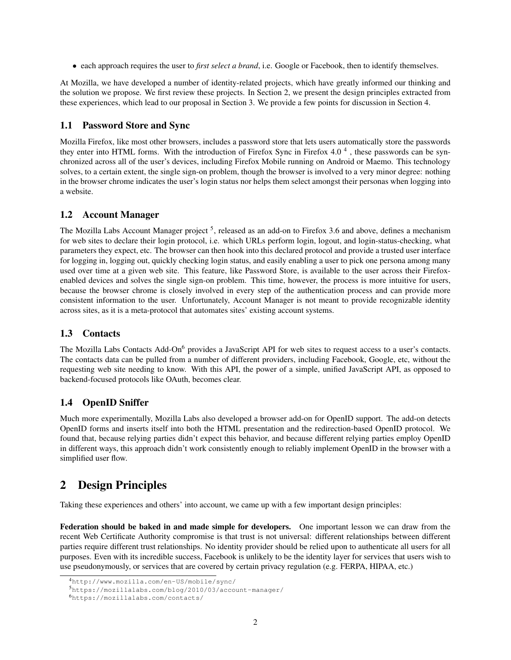• each approach requires the user to *first select a brand*, i.e. Google or Facebook, then to identify themselves.

At Mozilla, we have developed a number of identity-related projects, which have greatly informed our thinking and the solution we propose. We first review these projects. In Section 2, we present the design principles extracted from these experiences, which lead to our proposal in Section 3. We provide a few points for discussion in Section 4.

#### 1.1 Password Store and Sync

Mozilla Firefox, like most other browsers, includes a password store that lets users automatically store the passwords they enter into HTML forms. With the introduction of Firefox Sync in Firefox 4.0<sup>4</sup>, these passwords can be synchronized across all of the user's devices, including Firefox Mobile running on Android or Maemo. This technology solves, to a certain extent, the single sign-on problem, though the browser is involved to a very minor degree: nothing in the browser chrome indicates the user's login status nor helps them select amongst their personas when logging into a website.

### 1.2 Account Manager

The Mozilla Labs Account Manager project <sup>5</sup>, released as an add-on to Firefox 3.6 and above, defines a mechanism for web sites to declare their login protocol, i.e. which URLs perform login, logout, and login-status-checking, what parameters they expect, etc. The browser can then hook into this declared protocol and provide a trusted user interface for logging in, logging out, quickly checking login status, and easily enabling a user to pick one persona among many used over time at a given web site. This feature, like Password Store, is available to the user across their Firefoxenabled devices and solves the single sign-on problem. This time, however, the process is more intuitive for users, because the browser chrome is closely involved in every step of the authentication process and can provide more consistent information to the user. Unfortunately, Account Manager is not meant to provide recognizable identity across sites, as it is a meta-protocol that automates sites' existing account systems.

#### 1.3 Contacts

The Mozilla Labs Contacts Add-On<sup>6</sup> provides a JavaScript API for web sites to request access to a user's contacts. The contacts data can be pulled from a number of different providers, including Facebook, Google, etc, without the requesting web site needing to know. With this API, the power of a simple, unified JavaScript API, as opposed to backend-focused protocols like OAuth, becomes clear.

#### 1.4 OpenID Sniffer

Much more experimentally, Mozilla Labs also developed a browser add-on for OpenID support. The add-on detects OpenID forms and inserts itself into both the HTML presentation and the redirection-based OpenID protocol. We found that, because relying parties didn't expect this behavior, and because different relying parties employ OpenID in different ways, this approach didn't work consistently enough to reliably implement OpenID in the browser with a simplified user flow.

# 2 Design Principles

Taking these experiences and others' into account, we came up with a few important design principles:

Federation should be baked in and made simple for developers. One important lesson we can draw from the recent Web Certificate Authority compromise is that trust is not universal: different relationships between different parties require different trust relationships. No identity provider should be relied upon to authenticate all users for all purposes. Even with its incredible success, Facebook is unlikely to be the identity layer for services that users wish to use pseudonymously, or services that are covered by certain privacy regulation (e.g. FERPA, HIPAA, etc.)

<sup>4</sup>http://www.mozilla.com/en-US/mobile/sync/

<sup>5</sup>https://mozillalabs.com/blog/2010/03/account-manager/

<sup>6</sup>https://mozillalabs.com/contacts/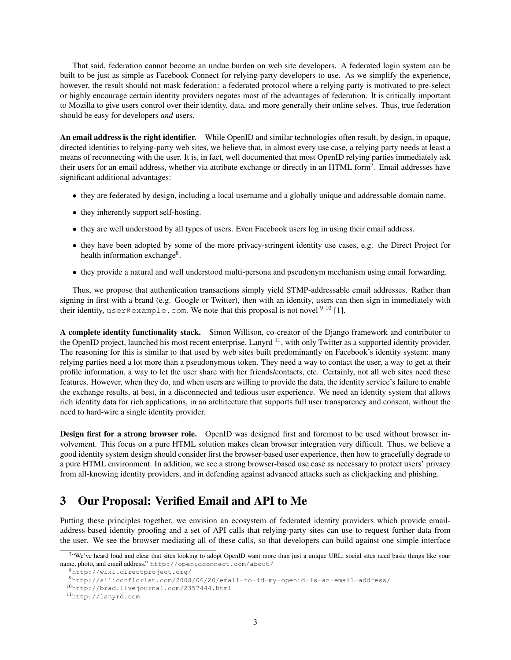That said, federation cannot become an undue burden on web site developers. A federated login system can be built to be just as simple as Facebook Connect for relying-party developers to use. As we simplify the experience, however, the result should not mask federation: a federated protocol where a relying party is motivated to pre-select or highly encourage certain identity providers negates most of the advantages of federation. It is critically important to Mozilla to give users control over their identity, data, and more generally their online selves. Thus, true federation should be easy for developers *and* users.

An email address is the right identifier. While OpenID and similar technologies often result, by design, in opaque, directed identities to relying-party web sites, we believe that, in almost every use case, a relying party needs at least a means of reconnecting with the user. It is, in fact, well documented that most OpenID relying parties immediately ask their users for an email address, whether via attribute exchange or directly in an HTML form<sup>7</sup>. Email addresses have significant additional advantages:

- they are federated by design, including a local username and a globally unique and addressable domain name.
- they inherently support self-hosting.
- they are well understood by all types of users. Even Facebook users log in using their email address.
- they have been adopted by some of the more privacy-stringent identity use cases, e.g. the Direct Project for health information exchange<sup>8</sup>.
- they provide a natural and well understood multi-persona and pseudonym mechanism using email forwarding.

Thus, we propose that authentication transactions simply yield STMP-addressable email addresses. Rather than signing in first with a brand (e.g. Google or Twitter), then with an identity, users can then sign in immediately with their identity, user  $@$ example.com. We note that this proposal is not novel  $910$  [1].

A complete identity functionality stack. Simon Willison, co-creator of the Django framework and contributor to the OpenID project, launched his most recent enterprise, Lanyrd  $^{11}$ , with only Twitter as a supported identity provider. The reasoning for this is similar to that used by web sites built predominantly on Facebook's identity system: many relying parties need a lot more than a pseudonymous token. They need a way to contact the user, a way to get at their profile information, a way to let the user share with her friends/contacts, etc. Certainly, not all web sites need these features. However, when they do, and when users are willing to provide the data, the identity service's failure to enable the exchange results, at best, in a disconnected and tedious user experience. We need an identity system that allows rich identity data for rich applications, in an architecture that supports full user transparency and consent, without the need to hard-wire a single identity provider.

Design first for a strong browser role. OpenID was designed first and foremost to be used without browser involvement. This focus on a pure HTML solution makes clean browser integration very difficult. Thus, we believe a good identity system design should consider first the browser-based user experience, then how to gracefully degrade to a pure HTML environment. In addition, we see a strong browser-based use case as necessary to protect users' privacy from all-knowing identity providers, and in defending against advanced attacks such as clickjacking and phishing.

### 3 Our Proposal: Verified Email and API to Me

Putting these principles together, we envision an ecosystem of federated identity providers which provide emailaddress-based identity proofing and a set of API calls that relying-party sites can use to request further data from the user. We see the browser mediating all of these calls, so that developers can build against one simple interface

<sup>&</sup>lt;sup>7</sup> "We've heard loud and clear that sites looking to adopt OpenID want more than just a unique URL; social sites need basic things like your name, photo, and email address." http://openidconnect.com/about/

<sup>8</sup>http://wiki.directproject.org/

<sup>9</sup>http://siliconflorist.com/2008/06/20/email-to-id-my-openid-is-an-email-address/

<sup>10</sup>http://brad.livejournal.com/2357444.html

<sup>11</sup>http://lanyrd.com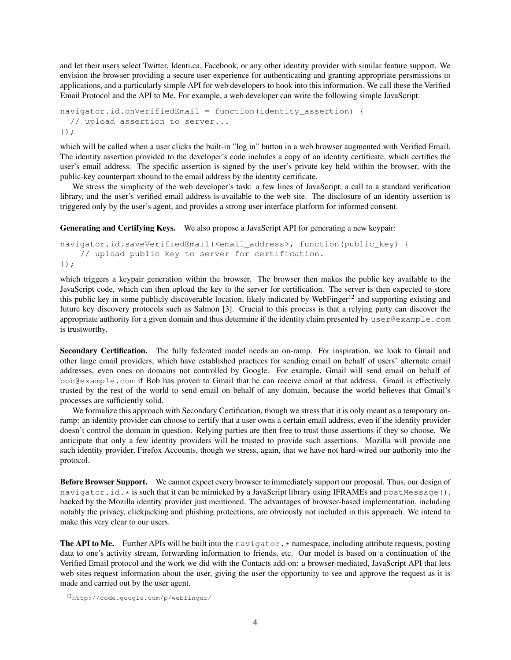and let their users select Twitter, Identi.ca, Facebook, or any other identity provider with similar feature support. We envision the browser providing a secure user experience for authenticating and granting appropriate persmissions to applications, and a particularly simple API for web developers to hook into this information. We call these the Verified Email Protocol and the API to Me. For example, a web developer can write the following simple JavaScript:

```
navigator.id.onVerifiedEmail = function(identity_assertion) {
  // upload assertion to server...
});
```
which will be called when a user clicks the built-in "log in" button in a web browser augmented with Verified Email. The identity assertion provided to the developer's code includes a copy of an identity certificate, which certifies the user's email address. The specific assertion is signed by the user's private key held within the browser, with the public-key counterpart xbound to the email address by the identity certificate.

We stress the simplicity of the web developer's task: a few lines of JavaScript, a call to a standard verification library, and the user's verified email address is available to the web site. The disclosure of an identity assertion is triggered only by the user's agent, and provides a strong user interface platform for informed consent.

Generating and Certifying Keys. We also propose a JavaScript API for generating a new keypair:

```
navigator.id.saveVerifiedEmail(<email_address>, function(public_key) {
    // upload public key to server for certification.
});
```
which triggers a keypair generation within the browser. The browser then makes the public key available to the JavaScript code, which can then upload the key to the server for certification. The server is then expected to store this public key in some publicly discoverable location, likely indicated by WebFinger<sup>12</sup> and supporting existing and future key discovery protocols such as Salmon [3]. Crucial to this process is that a relying party can discover the appropriate authority for a given domain and thus determine if the identity claim presented by user (example.com is trustworthy.

Secondary Certification. The fully federated model needs an on-ramp. For inspiration, we look to Gmail and other large email providers, which have established practices for sending email on behalf of users' alternate email addresses, even ones on domains not controlled by Google. For example, Gmail will send email on behalf of bob@example.com if Bob has proven to Gmail that he can receive email at that address. Gmail is effectively trusted by the rest of the world to send email on behalf of any domain, because the world believes that Gmail's processes are sufficiently solid.

We formalize this approach with Secondary Certification, though we stress that it is only meant as a temporary onramp: an identity provider can choose to certify that a user owns a certain email address, even if the identity provider doesn't control the domain in question. Relying parties are then free to trust those assertions if they so choose. We anticipate that only a few identity providers will be trusted to provide such assertions. Mozilla will provide one such identity provider, Firefox Accounts, though we stress, again, that we have not hard-wired our authority into the protocol.

Before Browser Support. We cannot expect every browser to immediately support our proposal. Thus, our design of navigator.id.\* is such that it can be mimicked by a JavaScript library using IFRAMEs and postMessage(), backed by the Mozilla identity provider just mentioned. The advantages of browser-based implementation, including notably the privacy, clickjacking and phishing protections, are obviously not included in this approach. We intend to make this very clear to our users.

**The API to Me.** Further APIs will be built into the navigator.  $\star$  namespace, including attribute requests, posting data to one's activity stream, forwarding information to friends, etc. Our model is based on a continuation of the Verified Email protocol and the work we did with the Contacts add-on: a browser-mediated, JavaScript API that lets web sites request information about the user, giving the user the opportunity to see and approve the request as it is made and carried out by the user agent.

<sup>12</sup>http://code.google.com/p/webfinger/